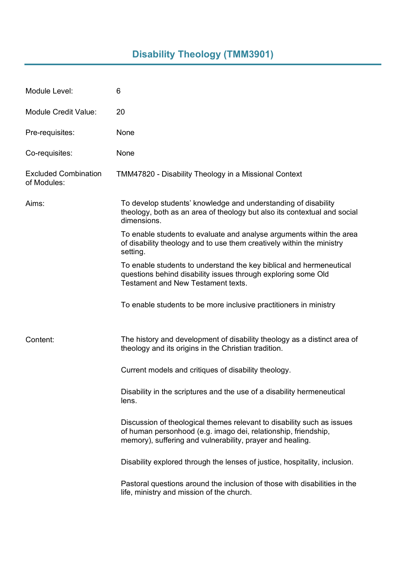## **Disability Theology (TMM3901)**

| Module Level:                              | 6                                                                                                                                                                                                     |
|--------------------------------------------|-------------------------------------------------------------------------------------------------------------------------------------------------------------------------------------------------------|
| <b>Module Credit Value:</b>                | 20                                                                                                                                                                                                    |
| Pre-requisites:                            | None                                                                                                                                                                                                  |
| Co-requisites:                             | None                                                                                                                                                                                                  |
| <b>Excluded Combination</b><br>of Modules: | TMM47820 - Disability Theology in a Missional Context                                                                                                                                                 |
| Aims:                                      | To develop students' knowledge and understanding of disability<br>theology, both as an area of theology but also its contextual and social<br>dimensions.                                             |
|                                            | To enable students to evaluate and analyse arguments within the area<br>of disability theology and to use them creatively within the ministry<br>setting.                                             |
|                                            | To enable students to understand the key biblical and hermeneutical<br>questions behind disability issues through exploring some Old<br><b>Testament and New Testament texts.</b>                     |
|                                            | To enable students to be more inclusive practitioners in ministry                                                                                                                                     |
| Content:                                   | The history and development of disability theology as a distinct area of<br>theology and its origins in the Christian tradition.                                                                      |
|                                            | Current models and critiques of disability theology.                                                                                                                                                  |
|                                            | Disability in the scriptures and the use of a disability hermeneutical<br>lens.                                                                                                                       |
|                                            | Discussion of theological themes relevant to disability such as issues<br>of human personhood (e.g. imago dei, relationship, friendship,<br>memory), suffering and vulnerability, prayer and healing. |
|                                            | Disability explored through the lenses of justice, hospitality, inclusion.                                                                                                                            |
|                                            | Pastoral questions around the inclusion of those with disabilities in the<br>life, ministry and mission of the church.                                                                                |